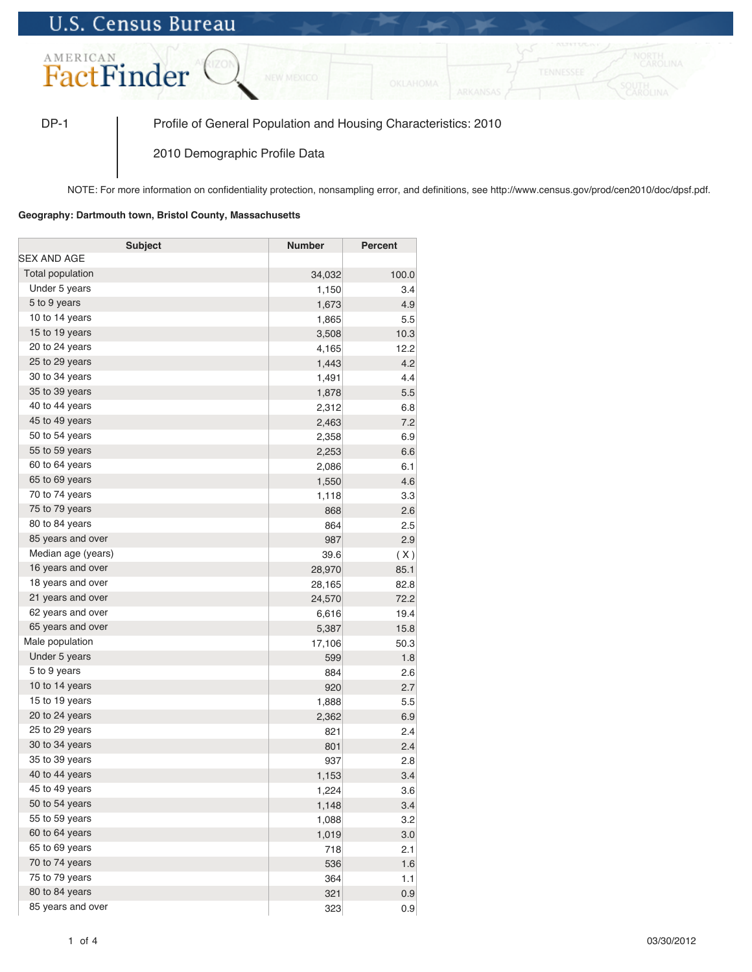## **U.S. Census Bureau**



DP-1 Profile of General Population and Housing Characteristics: 2010

2010 Demographic Profile Data

NOTE: For more information on confidentiality protection, nonsampling error, and definitions, see http://www.census.gov/prod/cen2010/doc/dpsf.pdf.

## **Geography: Dartmouth town, Bristol County, Massachusetts**

| <b>Subject</b>     | Number | Percent |
|--------------------|--------|---------|
| SEX AND AGE        |        |         |
| Total population   | 34,032 | 100.0   |
| Under 5 years      | 1,150  | 3.4     |
| 5 to 9 years       | 1,673  | 4.9     |
| 10 to 14 years     | 1,865  | 5.5     |
| 15 to 19 years     | 3,508  | 10.3    |
| 20 to 24 years     | 4,165  | 12.2    |
| 25 to 29 years     | 1,443  | 4.2     |
| 30 to 34 years     | 1,491  | 4.4     |
| 35 to 39 years     | 1,878  | 5.5     |
| 40 to 44 years     | 2,312  | 6.8     |
| 45 to 49 years     | 2,463  | 7.2     |
| 50 to 54 years     | 2,358  | 6.9     |
| 55 to 59 years     | 2,253  | 6.6     |
| 60 to 64 years     | 2,086  | 6.1     |
| 65 to 69 years     | 1,550  | 4.6     |
| 70 to 74 years     | 1,118  | 3.3     |
| 75 to 79 years     | 868    | 2.6     |
| 80 to 84 years     | 864    | 2.5     |
| 85 years and over  | 987    | 2.9     |
| Median age (years) | 39.6   | (X)     |
| 16 years and over  | 28,970 | 85.1    |
| 18 years and over  | 28,165 | 82.8    |
| 21 years and over  | 24,570 | 72.2    |
| 62 years and over  | 6,616  | 19.4    |
| 65 years and over  | 5,387  | 15.8    |
| Male population    | 17,106 | 50.3    |
| Under 5 years      | 599    | 1.8     |
| 5 to 9 years       | 884    | 2.6     |
| 10 to 14 years     | 920    | 2.7     |
| 15 to 19 years     | 1,888  | 5.5     |
| 20 to 24 years     | 2,362  | 6.9     |
| 25 to 29 years     | 821    | 2.4     |
| 30 to 34 years     | 801    | 2.4     |
| 35 to 39 years     | 937    | 2.8     |
| 40 to 44 years     | 1,153  | 3.4     |
| 45 to 49 years     | 1,224  | 3.6     |
| 50 to 54 years     | 1,148  | 3.4     |
| 55 to 59 years     | 1,088  | 3.2     |
| 60 to 64 years     | 1,019  | 3.0     |
| 65 to 69 years     | 718    | 2.1     |
| 70 to 74 years     | 536    | 1.6     |
| 75 to 79 years     | 364    | 1.1     |
| 80 to 84 years     | 321    | 0.9     |
| 85 years and over  | 323    | 0.9     |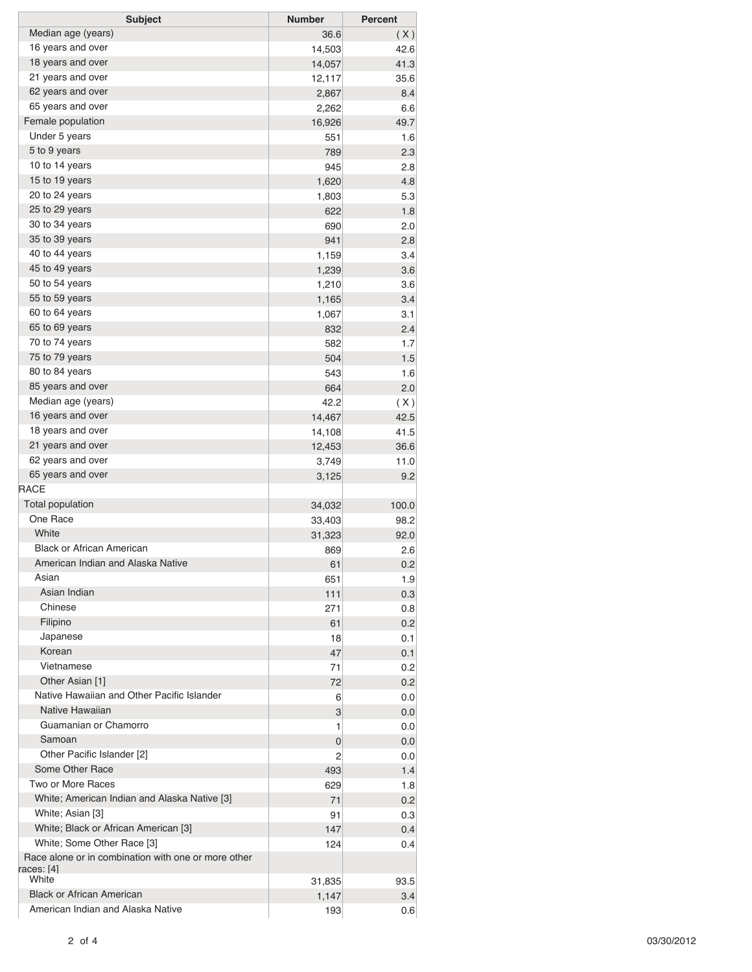| <b>Subject</b>                                      | <b>Number</b> | <b>Percent</b> |
|-----------------------------------------------------|---------------|----------------|
| Median age (years)                                  | 36.6          | (X)            |
| 16 years and over                                   | 14,503        | 42.6           |
| 18 years and over                                   | 14,057        | 41.3           |
| 21 years and over                                   | 12,117        | 35.6           |
| 62 years and over                                   | 2,867         | 8.4            |
| 65 years and over                                   | 2,262         | 6.6            |
| Female population                                   | 16,926        | 49.7           |
| Under 5 years                                       | 551           | 1.6            |
| 5 to 9 years                                        | 789           | 2.3            |
| 10 to 14 years                                      | 945           | 2.8            |
| 15 to 19 years                                      | 1,620         | 4.8            |
| 20 to 24 years                                      | 1,803         | 5.3            |
| 25 to 29 years                                      | 622           | 1.8            |
| 30 to 34 years                                      | 690           | 2.0            |
| 35 to 39 years                                      | 941           | 2.8            |
| 40 to 44 years                                      | 1,159         | 3.4            |
| 45 to 49 years                                      | 1,239         | 3.6            |
| 50 to 54 years                                      | 1,210         | 3.6            |
| 55 to 59 years                                      | 1,165         | 3.4            |
| 60 to 64 years                                      | 1,067         | 3.1            |
| 65 to 69 years                                      |               | 2.4            |
| 70 to 74 years                                      | 832           |                |
| 75 to 79 years                                      | 582           | 1.7            |
| 80 to 84 years                                      | 504           | 1.5            |
| 85 years and over                                   | 543           | 1.6            |
|                                                     | 664           | 2.0            |
| Median age (years)                                  | 42.2          | (X)            |
| 16 years and over                                   | 14,467        | 42.5           |
| 18 years and over                                   | 14,108        | 41.5           |
| 21 years and over                                   | 12,453        | 36.6           |
| 62 years and over                                   | 3,749         | 11.0           |
| 65 years and over                                   | 3,125         | 9.2            |
| <b>RACE</b>                                         |               |                |
| <b>Total population</b>                             | 34,032        | 100.0          |
| One Race                                            | 33,403        | 98.2           |
| White                                               | 31,323        | 92.0           |
| <b>Black or African American</b>                    | 869           | 2.6            |
| American Indian and Alaska Native                   | 61            | 0.2            |
| Asian                                               | 651           | 1.9            |
| Asian Indian                                        | 111           | 0.3            |
| Chinese                                             | 271           | 0.8            |
| Filipino                                            | 61            | 0.2            |
| Japanese                                            | 18            | 0.1            |
| Korean                                              | 47            | 0.1            |
| Vietnamese                                          | 71            | 0.2            |
| Other Asian [1]                                     | 72            | 0.2            |
| Native Hawaiian and Other Pacific Islander          | 6             | 0.0            |
| Native Hawaiian                                     | 3             | 0.0            |
| Guamanian or Chamorro                               | 1             | 0.0            |
| Samoan                                              | 0             | 0.0            |
| Other Pacific Islander [2]                          | 2             | 0.0            |
| Some Other Race                                     | 493           | 1.4            |
| Two or More Races                                   | 629           | 1.8            |
| White; American Indian and Alaska Native [3]        | 71            | 0.2            |
| White; Asian [3]                                    | 91            | 0.3            |
| White; Black or African American [3]                | 147           | 0.4            |
| White; Some Other Race [3]                          | 124           | 0.4            |
| Race alone or in combination with one or more other |               |                |
| races: [4]                                          |               |                |
| White                                               | 31,835        | 93.5           |
| <b>Black or African American</b>                    | 1,147         | 3.4            |
| American Indian and Alaska Native                   | 193           | 0.6            |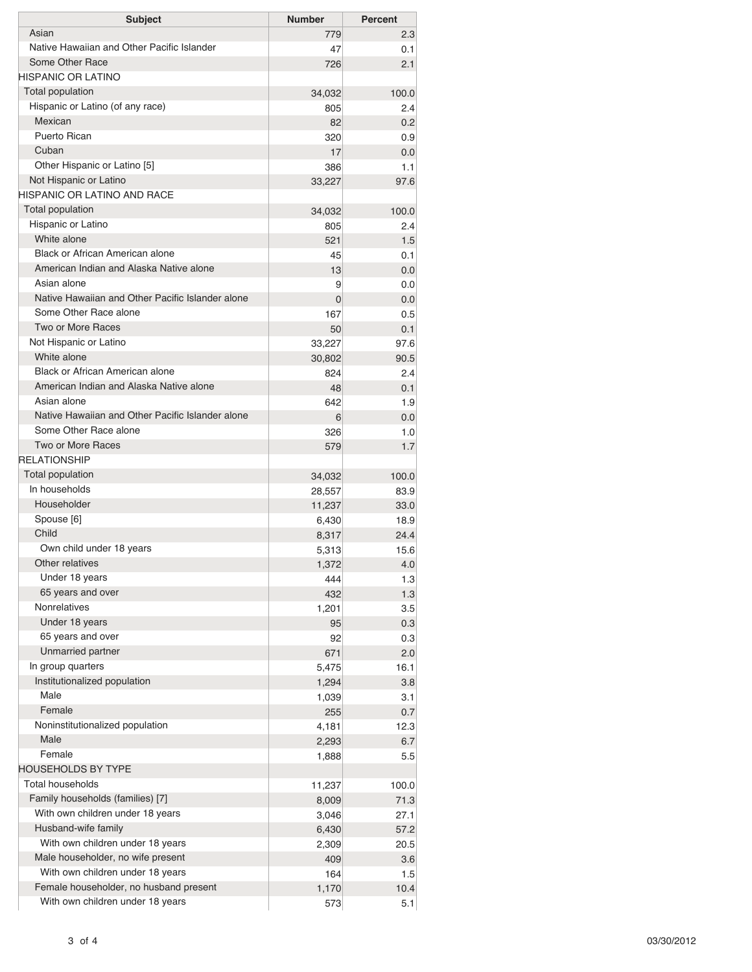| Asian<br>779<br>2.3<br>Native Hawaiian and Other Pacific Islander<br>47<br>0.1<br>Some Other Race<br>726<br>2.1<br>HISPANIC OR LATINO<br>Total population<br>34,032<br>100.0<br>Hispanic or Latino (of any race)<br>2.4<br>805<br>Mexican<br>0.2<br>82<br>Puerto Rican<br>320<br>0.9<br>Cuban<br>17<br>0.0<br>Other Hispanic or Latino [5]<br>386<br>1.1<br>Not Hispanic or Latino<br>33,227<br>97.6<br>HISPANIC OR LATINO AND RACE<br>Total population<br>34,032<br>100.0<br>Hispanic or Latino<br>805<br>2.4<br>White alone<br>521<br>1.5<br><b>Black or African American alone</b><br>45<br>0.1<br>American Indian and Alaska Native alone<br>13<br>0.0<br>Asian alone<br>9<br>0.0<br>Native Hawaiian and Other Pacific Islander alone<br>0<br>0.0<br>Some Other Race alone<br>167<br>0.5<br>Two or More Races<br>50<br>0.1<br>Not Hispanic or Latino<br>33,227<br>97.6<br>White alone<br>30,802<br>90.5<br><b>Black or African American alone</b><br>2.4<br>824<br>American Indian and Alaska Native alone<br>48<br>0.1<br>Asian alone<br>642<br>1.9<br>Native Hawaiian and Other Pacific Islander alone<br>6<br>0.0<br>Some Other Race alone<br>326<br>1.0<br>Two or More Races<br>1.7<br>579<br><b>RELATIONSHIP</b><br>Total population<br>34,032<br>100.0<br>In households<br>83.9<br>28,557<br>Householder<br>11,237<br>33.0<br>Spouse [6]<br>18.9<br>6,430<br>Child<br>8,317<br>24.4<br>Own child under 18 years<br>15.6<br>5,313<br>Other relatives<br>1,372<br>4.0<br>Under 18 years<br>444<br>1.3<br>65 years and over<br>432<br>1.3<br><b>Nonrelatives</b><br>3.5<br>1,201<br>Under 18 years<br>0.3<br>95<br>65 years and over<br>92<br>0.3<br>Unmarried partner<br>671<br>2.0<br>In group quarters<br>5,475<br>16.1<br>Institutionalized population<br>1,294<br>3.8<br>Male<br>3.1<br>1,039<br>Female<br>255<br>0.7<br>Noninstitutionalized population<br>12.3<br>4,181<br>Male<br>2,293<br>6.7<br>Female<br>5.5<br>1,888<br>HOUSEHOLDS BY TYPE<br><b>Total households</b><br>11,237<br>100.0<br>Family households (families) [7]<br>71.3<br>8,009<br>With own children under 18 years<br>27.1<br>3,046<br>Husband-wife family<br>6,430<br>57.2<br>With own children under 18 years<br>20.5<br>2,309<br>Male householder, no wife present<br>409<br>3.6<br>With own children under 18 years<br>164<br>1.5<br>Female householder, no husband present<br>1,170<br>10.4 | <b>Subject</b> | <b>Number</b> | Percent |
|------------------------------------------------------------------------------------------------------------------------------------------------------------------------------------------------------------------------------------------------------------------------------------------------------------------------------------------------------------------------------------------------------------------------------------------------------------------------------------------------------------------------------------------------------------------------------------------------------------------------------------------------------------------------------------------------------------------------------------------------------------------------------------------------------------------------------------------------------------------------------------------------------------------------------------------------------------------------------------------------------------------------------------------------------------------------------------------------------------------------------------------------------------------------------------------------------------------------------------------------------------------------------------------------------------------------------------------------------------------------------------------------------------------------------------------------------------------------------------------------------------------------------------------------------------------------------------------------------------------------------------------------------------------------------------------------------------------------------------------------------------------------------------------------------------------------------------------------------------------------------------------------------------------------------------------------------------------------------------------------------------------------------------------------------------------------------------------------------------------------------------------------------------------------------------------------------------------------------------------------------------------------------------------------------------------------------------------------------------------------------------|----------------|---------------|---------|
|                                                                                                                                                                                                                                                                                                                                                                                                                                                                                                                                                                                                                                                                                                                                                                                                                                                                                                                                                                                                                                                                                                                                                                                                                                                                                                                                                                                                                                                                                                                                                                                                                                                                                                                                                                                                                                                                                                                                                                                                                                                                                                                                                                                                                                                                                                                                                                                    |                |               |         |
|                                                                                                                                                                                                                                                                                                                                                                                                                                                                                                                                                                                                                                                                                                                                                                                                                                                                                                                                                                                                                                                                                                                                                                                                                                                                                                                                                                                                                                                                                                                                                                                                                                                                                                                                                                                                                                                                                                                                                                                                                                                                                                                                                                                                                                                                                                                                                                                    |                |               |         |
|                                                                                                                                                                                                                                                                                                                                                                                                                                                                                                                                                                                                                                                                                                                                                                                                                                                                                                                                                                                                                                                                                                                                                                                                                                                                                                                                                                                                                                                                                                                                                                                                                                                                                                                                                                                                                                                                                                                                                                                                                                                                                                                                                                                                                                                                                                                                                                                    |                |               |         |
|                                                                                                                                                                                                                                                                                                                                                                                                                                                                                                                                                                                                                                                                                                                                                                                                                                                                                                                                                                                                                                                                                                                                                                                                                                                                                                                                                                                                                                                                                                                                                                                                                                                                                                                                                                                                                                                                                                                                                                                                                                                                                                                                                                                                                                                                                                                                                                                    |                |               |         |
|                                                                                                                                                                                                                                                                                                                                                                                                                                                                                                                                                                                                                                                                                                                                                                                                                                                                                                                                                                                                                                                                                                                                                                                                                                                                                                                                                                                                                                                                                                                                                                                                                                                                                                                                                                                                                                                                                                                                                                                                                                                                                                                                                                                                                                                                                                                                                                                    |                |               |         |
|                                                                                                                                                                                                                                                                                                                                                                                                                                                                                                                                                                                                                                                                                                                                                                                                                                                                                                                                                                                                                                                                                                                                                                                                                                                                                                                                                                                                                                                                                                                                                                                                                                                                                                                                                                                                                                                                                                                                                                                                                                                                                                                                                                                                                                                                                                                                                                                    |                |               |         |
|                                                                                                                                                                                                                                                                                                                                                                                                                                                                                                                                                                                                                                                                                                                                                                                                                                                                                                                                                                                                                                                                                                                                                                                                                                                                                                                                                                                                                                                                                                                                                                                                                                                                                                                                                                                                                                                                                                                                                                                                                                                                                                                                                                                                                                                                                                                                                                                    |                |               |         |
|                                                                                                                                                                                                                                                                                                                                                                                                                                                                                                                                                                                                                                                                                                                                                                                                                                                                                                                                                                                                                                                                                                                                                                                                                                                                                                                                                                                                                                                                                                                                                                                                                                                                                                                                                                                                                                                                                                                                                                                                                                                                                                                                                                                                                                                                                                                                                                                    |                |               |         |
|                                                                                                                                                                                                                                                                                                                                                                                                                                                                                                                                                                                                                                                                                                                                                                                                                                                                                                                                                                                                                                                                                                                                                                                                                                                                                                                                                                                                                                                                                                                                                                                                                                                                                                                                                                                                                                                                                                                                                                                                                                                                                                                                                                                                                                                                                                                                                                                    |                |               |         |
|                                                                                                                                                                                                                                                                                                                                                                                                                                                                                                                                                                                                                                                                                                                                                                                                                                                                                                                                                                                                                                                                                                                                                                                                                                                                                                                                                                                                                                                                                                                                                                                                                                                                                                                                                                                                                                                                                                                                                                                                                                                                                                                                                                                                                                                                                                                                                                                    |                |               |         |
|                                                                                                                                                                                                                                                                                                                                                                                                                                                                                                                                                                                                                                                                                                                                                                                                                                                                                                                                                                                                                                                                                                                                                                                                                                                                                                                                                                                                                                                                                                                                                                                                                                                                                                                                                                                                                                                                                                                                                                                                                                                                                                                                                                                                                                                                                                                                                                                    |                |               |         |
|                                                                                                                                                                                                                                                                                                                                                                                                                                                                                                                                                                                                                                                                                                                                                                                                                                                                                                                                                                                                                                                                                                                                                                                                                                                                                                                                                                                                                                                                                                                                                                                                                                                                                                                                                                                                                                                                                                                                                                                                                                                                                                                                                                                                                                                                                                                                                                                    |                |               |         |
|                                                                                                                                                                                                                                                                                                                                                                                                                                                                                                                                                                                                                                                                                                                                                                                                                                                                                                                                                                                                                                                                                                                                                                                                                                                                                                                                                                                                                                                                                                                                                                                                                                                                                                                                                                                                                                                                                                                                                                                                                                                                                                                                                                                                                                                                                                                                                                                    |                |               |         |
|                                                                                                                                                                                                                                                                                                                                                                                                                                                                                                                                                                                                                                                                                                                                                                                                                                                                                                                                                                                                                                                                                                                                                                                                                                                                                                                                                                                                                                                                                                                                                                                                                                                                                                                                                                                                                                                                                                                                                                                                                                                                                                                                                                                                                                                                                                                                                                                    |                |               |         |
|                                                                                                                                                                                                                                                                                                                                                                                                                                                                                                                                                                                                                                                                                                                                                                                                                                                                                                                                                                                                                                                                                                                                                                                                                                                                                                                                                                                                                                                                                                                                                                                                                                                                                                                                                                                                                                                                                                                                                                                                                                                                                                                                                                                                                                                                                                                                                                                    |                |               |         |
|                                                                                                                                                                                                                                                                                                                                                                                                                                                                                                                                                                                                                                                                                                                                                                                                                                                                                                                                                                                                                                                                                                                                                                                                                                                                                                                                                                                                                                                                                                                                                                                                                                                                                                                                                                                                                                                                                                                                                                                                                                                                                                                                                                                                                                                                                                                                                                                    |                |               |         |
|                                                                                                                                                                                                                                                                                                                                                                                                                                                                                                                                                                                                                                                                                                                                                                                                                                                                                                                                                                                                                                                                                                                                                                                                                                                                                                                                                                                                                                                                                                                                                                                                                                                                                                                                                                                                                                                                                                                                                                                                                                                                                                                                                                                                                                                                                                                                                                                    |                |               |         |
|                                                                                                                                                                                                                                                                                                                                                                                                                                                                                                                                                                                                                                                                                                                                                                                                                                                                                                                                                                                                                                                                                                                                                                                                                                                                                                                                                                                                                                                                                                                                                                                                                                                                                                                                                                                                                                                                                                                                                                                                                                                                                                                                                                                                                                                                                                                                                                                    |                |               |         |
|                                                                                                                                                                                                                                                                                                                                                                                                                                                                                                                                                                                                                                                                                                                                                                                                                                                                                                                                                                                                                                                                                                                                                                                                                                                                                                                                                                                                                                                                                                                                                                                                                                                                                                                                                                                                                                                                                                                                                                                                                                                                                                                                                                                                                                                                                                                                                                                    |                |               |         |
|                                                                                                                                                                                                                                                                                                                                                                                                                                                                                                                                                                                                                                                                                                                                                                                                                                                                                                                                                                                                                                                                                                                                                                                                                                                                                                                                                                                                                                                                                                                                                                                                                                                                                                                                                                                                                                                                                                                                                                                                                                                                                                                                                                                                                                                                                                                                                                                    |                |               |         |
|                                                                                                                                                                                                                                                                                                                                                                                                                                                                                                                                                                                                                                                                                                                                                                                                                                                                                                                                                                                                                                                                                                                                                                                                                                                                                                                                                                                                                                                                                                                                                                                                                                                                                                                                                                                                                                                                                                                                                                                                                                                                                                                                                                                                                                                                                                                                                                                    |                |               |         |
|                                                                                                                                                                                                                                                                                                                                                                                                                                                                                                                                                                                                                                                                                                                                                                                                                                                                                                                                                                                                                                                                                                                                                                                                                                                                                                                                                                                                                                                                                                                                                                                                                                                                                                                                                                                                                                                                                                                                                                                                                                                                                                                                                                                                                                                                                                                                                                                    |                |               |         |
|                                                                                                                                                                                                                                                                                                                                                                                                                                                                                                                                                                                                                                                                                                                                                                                                                                                                                                                                                                                                                                                                                                                                                                                                                                                                                                                                                                                                                                                                                                                                                                                                                                                                                                                                                                                                                                                                                                                                                                                                                                                                                                                                                                                                                                                                                                                                                                                    |                |               |         |
|                                                                                                                                                                                                                                                                                                                                                                                                                                                                                                                                                                                                                                                                                                                                                                                                                                                                                                                                                                                                                                                                                                                                                                                                                                                                                                                                                                                                                                                                                                                                                                                                                                                                                                                                                                                                                                                                                                                                                                                                                                                                                                                                                                                                                                                                                                                                                                                    |                |               |         |
|                                                                                                                                                                                                                                                                                                                                                                                                                                                                                                                                                                                                                                                                                                                                                                                                                                                                                                                                                                                                                                                                                                                                                                                                                                                                                                                                                                                                                                                                                                                                                                                                                                                                                                                                                                                                                                                                                                                                                                                                                                                                                                                                                                                                                                                                                                                                                                                    |                |               |         |
|                                                                                                                                                                                                                                                                                                                                                                                                                                                                                                                                                                                                                                                                                                                                                                                                                                                                                                                                                                                                                                                                                                                                                                                                                                                                                                                                                                                                                                                                                                                                                                                                                                                                                                                                                                                                                                                                                                                                                                                                                                                                                                                                                                                                                                                                                                                                                                                    |                |               |         |
|                                                                                                                                                                                                                                                                                                                                                                                                                                                                                                                                                                                                                                                                                                                                                                                                                                                                                                                                                                                                                                                                                                                                                                                                                                                                                                                                                                                                                                                                                                                                                                                                                                                                                                                                                                                                                                                                                                                                                                                                                                                                                                                                                                                                                                                                                                                                                                                    |                |               |         |
|                                                                                                                                                                                                                                                                                                                                                                                                                                                                                                                                                                                                                                                                                                                                                                                                                                                                                                                                                                                                                                                                                                                                                                                                                                                                                                                                                                                                                                                                                                                                                                                                                                                                                                                                                                                                                                                                                                                                                                                                                                                                                                                                                                                                                                                                                                                                                                                    |                |               |         |
|                                                                                                                                                                                                                                                                                                                                                                                                                                                                                                                                                                                                                                                                                                                                                                                                                                                                                                                                                                                                                                                                                                                                                                                                                                                                                                                                                                                                                                                                                                                                                                                                                                                                                                                                                                                                                                                                                                                                                                                                                                                                                                                                                                                                                                                                                                                                                                                    |                |               |         |
|                                                                                                                                                                                                                                                                                                                                                                                                                                                                                                                                                                                                                                                                                                                                                                                                                                                                                                                                                                                                                                                                                                                                                                                                                                                                                                                                                                                                                                                                                                                                                                                                                                                                                                                                                                                                                                                                                                                                                                                                                                                                                                                                                                                                                                                                                                                                                                                    |                |               |         |
|                                                                                                                                                                                                                                                                                                                                                                                                                                                                                                                                                                                                                                                                                                                                                                                                                                                                                                                                                                                                                                                                                                                                                                                                                                                                                                                                                                                                                                                                                                                                                                                                                                                                                                                                                                                                                                                                                                                                                                                                                                                                                                                                                                                                                                                                                                                                                                                    |                |               |         |
|                                                                                                                                                                                                                                                                                                                                                                                                                                                                                                                                                                                                                                                                                                                                                                                                                                                                                                                                                                                                                                                                                                                                                                                                                                                                                                                                                                                                                                                                                                                                                                                                                                                                                                                                                                                                                                                                                                                                                                                                                                                                                                                                                                                                                                                                                                                                                                                    |                |               |         |
|                                                                                                                                                                                                                                                                                                                                                                                                                                                                                                                                                                                                                                                                                                                                                                                                                                                                                                                                                                                                                                                                                                                                                                                                                                                                                                                                                                                                                                                                                                                                                                                                                                                                                                                                                                                                                                                                                                                                                                                                                                                                                                                                                                                                                                                                                                                                                                                    |                |               |         |
|                                                                                                                                                                                                                                                                                                                                                                                                                                                                                                                                                                                                                                                                                                                                                                                                                                                                                                                                                                                                                                                                                                                                                                                                                                                                                                                                                                                                                                                                                                                                                                                                                                                                                                                                                                                                                                                                                                                                                                                                                                                                                                                                                                                                                                                                                                                                                                                    |                |               |         |
|                                                                                                                                                                                                                                                                                                                                                                                                                                                                                                                                                                                                                                                                                                                                                                                                                                                                                                                                                                                                                                                                                                                                                                                                                                                                                                                                                                                                                                                                                                                                                                                                                                                                                                                                                                                                                                                                                                                                                                                                                                                                                                                                                                                                                                                                                                                                                                                    |                |               |         |
|                                                                                                                                                                                                                                                                                                                                                                                                                                                                                                                                                                                                                                                                                                                                                                                                                                                                                                                                                                                                                                                                                                                                                                                                                                                                                                                                                                                                                                                                                                                                                                                                                                                                                                                                                                                                                                                                                                                                                                                                                                                                                                                                                                                                                                                                                                                                                                                    |                |               |         |
|                                                                                                                                                                                                                                                                                                                                                                                                                                                                                                                                                                                                                                                                                                                                                                                                                                                                                                                                                                                                                                                                                                                                                                                                                                                                                                                                                                                                                                                                                                                                                                                                                                                                                                                                                                                                                                                                                                                                                                                                                                                                                                                                                                                                                                                                                                                                                                                    |                |               |         |
|                                                                                                                                                                                                                                                                                                                                                                                                                                                                                                                                                                                                                                                                                                                                                                                                                                                                                                                                                                                                                                                                                                                                                                                                                                                                                                                                                                                                                                                                                                                                                                                                                                                                                                                                                                                                                                                                                                                                                                                                                                                                                                                                                                                                                                                                                                                                                                                    |                |               |         |
|                                                                                                                                                                                                                                                                                                                                                                                                                                                                                                                                                                                                                                                                                                                                                                                                                                                                                                                                                                                                                                                                                                                                                                                                                                                                                                                                                                                                                                                                                                                                                                                                                                                                                                                                                                                                                                                                                                                                                                                                                                                                                                                                                                                                                                                                                                                                                                                    |                |               |         |
|                                                                                                                                                                                                                                                                                                                                                                                                                                                                                                                                                                                                                                                                                                                                                                                                                                                                                                                                                                                                                                                                                                                                                                                                                                                                                                                                                                                                                                                                                                                                                                                                                                                                                                                                                                                                                                                                                                                                                                                                                                                                                                                                                                                                                                                                                                                                                                                    |                |               |         |
|                                                                                                                                                                                                                                                                                                                                                                                                                                                                                                                                                                                                                                                                                                                                                                                                                                                                                                                                                                                                                                                                                                                                                                                                                                                                                                                                                                                                                                                                                                                                                                                                                                                                                                                                                                                                                                                                                                                                                                                                                                                                                                                                                                                                                                                                                                                                                                                    |                |               |         |
|                                                                                                                                                                                                                                                                                                                                                                                                                                                                                                                                                                                                                                                                                                                                                                                                                                                                                                                                                                                                                                                                                                                                                                                                                                                                                                                                                                                                                                                                                                                                                                                                                                                                                                                                                                                                                                                                                                                                                                                                                                                                                                                                                                                                                                                                                                                                                                                    |                |               |         |
|                                                                                                                                                                                                                                                                                                                                                                                                                                                                                                                                                                                                                                                                                                                                                                                                                                                                                                                                                                                                                                                                                                                                                                                                                                                                                                                                                                                                                                                                                                                                                                                                                                                                                                                                                                                                                                                                                                                                                                                                                                                                                                                                                                                                                                                                                                                                                                                    |                |               |         |
|                                                                                                                                                                                                                                                                                                                                                                                                                                                                                                                                                                                                                                                                                                                                                                                                                                                                                                                                                                                                                                                                                                                                                                                                                                                                                                                                                                                                                                                                                                                                                                                                                                                                                                                                                                                                                                                                                                                                                                                                                                                                                                                                                                                                                                                                                                                                                                                    |                |               |         |
|                                                                                                                                                                                                                                                                                                                                                                                                                                                                                                                                                                                                                                                                                                                                                                                                                                                                                                                                                                                                                                                                                                                                                                                                                                                                                                                                                                                                                                                                                                                                                                                                                                                                                                                                                                                                                                                                                                                                                                                                                                                                                                                                                                                                                                                                                                                                                                                    |                |               |         |
|                                                                                                                                                                                                                                                                                                                                                                                                                                                                                                                                                                                                                                                                                                                                                                                                                                                                                                                                                                                                                                                                                                                                                                                                                                                                                                                                                                                                                                                                                                                                                                                                                                                                                                                                                                                                                                                                                                                                                                                                                                                                                                                                                                                                                                                                                                                                                                                    |                |               |         |
|                                                                                                                                                                                                                                                                                                                                                                                                                                                                                                                                                                                                                                                                                                                                                                                                                                                                                                                                                                                                                                                                                                                                                                                                                                                                                                                                                                                                                                                                                                                                                                                                                                                                                                                                                                                                                                                                                                                                                                                                                                                                                                                                                                                                                                                                                                                                                                                    |                |               |         |
|                                                                                                                                                                                                                                                                                                                                                                                                                                                                                                                                                                                                                                                                                                                                                                                                                                                                                                                                                                                                                                                                                                                                                                                                                                                                                                                                                                                                                                                                                                                                                                                                                                                                                                                                                                                                                                                                                                                                                                                                                                                                                                                                                                                                                                                                                                                                                                                    |                |               |         |
|                                                                                                                                                                                                                                                                                                                                                                                                                                                                                                                                                                                                                                                                                                                                                                                                                                                                                                                                                                                                                                                                                                                                                                                                                                                                                                                                                                                                                                                                                                                                                                                                                                                                                                                                                                                                                                                                                                                                                                                                                                                                                                                                                                                                                                                                                                                                                                                    |                |               |         |
|                                                                                                                                                                                                                                                                                                                                                                                                                                                                                                                                                                                                                                                                                                                                                                                                                                                                                                                                                                                                                                                                                                                                                                                                                                                                                                                                                                                                                                                                                                                                                                                                                                                                                                                                                                                                                                                                                                                                                                                                                                                                                                                                                                                                                                                                                                                                                                                    |                |               |         |
|                                                                                                                                                                                                                                                                                                                                                                                                                                                                                                                                                                                                                                                                                                                                                                                                                                                                                                                                                                                                                                                                                                                                                                                                                                                                                                                                                                                                                                                                                                                                                                                                                                                                                                                                                                                                                                                                                                                                                                                                                                                                                                                                                                                                                                                                                                                                                                                    |                |               |         |
|                                                                                                                                                                                                                                                                                                                                                                                                                                                                                                                                                                                                                                                                                                                                                                                                                                                                                                                                                                                                                                                                                                                                                                                                                                                                                                                                                                                                                                                                                                                                                                                                                                                                                                                                                                                                                                                                                                                                                                                                                                                                                                                                                                                                                                                                                                                                                                                    |                |               |         |
|                                                                                                                                                                                                                                                                                                                                                                                                                                                                                                                                                                                                                                                                                                                                                                                                                                                                                                                                                                                                                                                                                                                                                                                                                                                                                                                                                                                                                                                                                                                                                                                                                                                                                                                                                                                                                                                                                                                                                                                                                                                                                                                                                                                                                                                                                                                                                                                    |                |               |         |
|                                                                                                                                                                                                                                                                                                                                                                                                                                                                                                                                                                                                                                                                                                                                                                                                                                                                                                                                                                                                                                                                                                                                                                                                                                                                                                                                                                                                                                                                                                                                                                                                                                                                                                                                                                                                                                                                                                                                                                                                                                                                                                                                                                                                                                                                                                                                                                                    |                |               |         |
|                                                                                                                                                                                                                                                                                                                                                                                                                                                                                                                                                                                                                                                                                                                                                                                                                                                                                                                                                                                                                                                                                                                                                                                                                                                                                                                                                                                                                                                                                                                                                                                                                                                                                                                                                                                                                                                                                                                                                                                                                                                                                                                                                                                                                                                                                                                                                                                    |                |               |         |
|                                                                                                                                                                                                                                                                                                                                                                                                                                                                                                                                                                                                                                                                                                                                                                                                                                                                                                                                                                                                                                                                                                                                                                                                                                                                                                                                                                                                                                                                                                                                                                                                                                                                                                                                                                                                                                                                                                                                                                                                                                                                                                                                                                                                                                                                                                                                                                                    |                |               |         |
|                                                                                                                                                                                                                                                                                                                                                                                                                                                                                                                                                                                                                                                                                                                                                                                                                                                                                                                                                                                                                                                                                                                                                                                                                                                                                                                                                                                                                                                                                                                                                                                                                                                                                                                                                                                                                                                                                                                                                                                                                                                                                                                                                                                                                                                                                                                                                                                    |                |               |         |
| With own children under 18 years<br>5.1<br>573                                                                                                                                                                                                                                                                                                                                                                                                                                                                                                                                                                                                                                                                                                                                                                                                                                                                                                                                                                                                                                                                                                                                                                                                                                                                                                                                                                                                                                                                                                                                                                                                                                                                                                                                                                                                                                                                                                                                                                                                                                                                                                                                                                                                                                                                                                                                     |                |               |         |